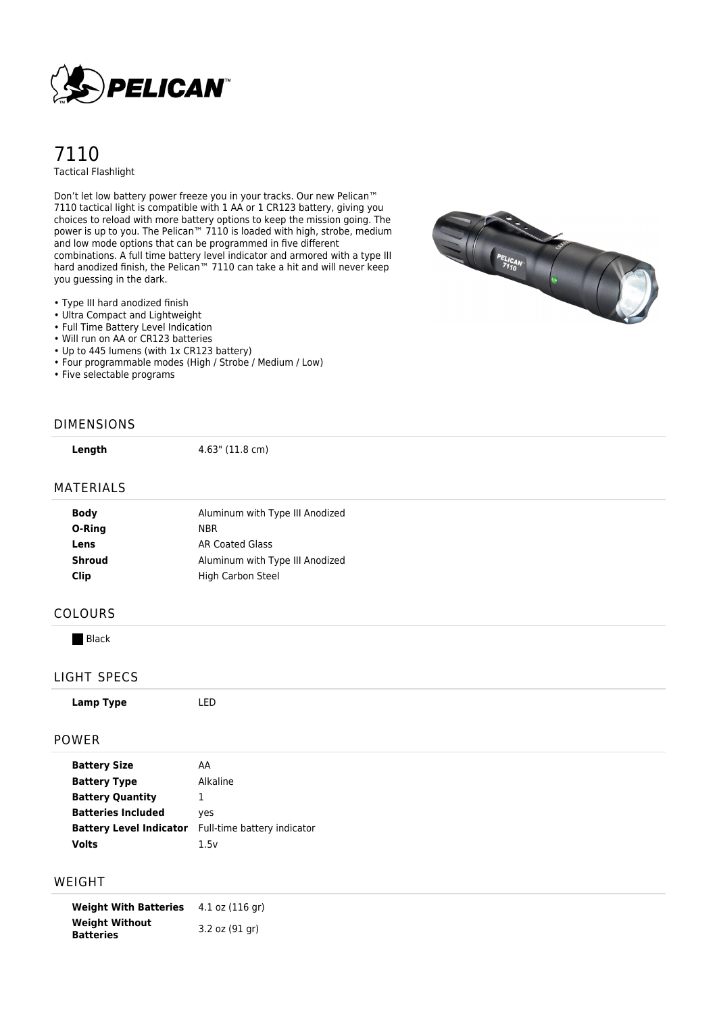

# 7110 Tactical Flashlight

Don't let low battery power freeze you in your tracks. Our new Pelican™ 7110 tactical light is compatible with 1 AA or 1 CR123 battery, giving you choices to reload with more battery options to keep the mission going. The power is up to you. The Pelican™ 7110 is loaded with high, strobe, medium and low mode options that can be programmed in five different combinations. A full time battery level indicator and armored with a type III hard anodized finish, the Pelican™ 7110 can take a hit and will never keep you guessing in the dark.

• Type III hard anodized finish

- Ultra Compact and Lightweight
- Full Time Battery Level Indication
- Will run on AA or CR123 batteries
- Up to 445 lumens (with 1x CR123 battery)
- Four programmable modes (High / Strobe / Medium / Low)
- Five selectable programs



#### DIMENSIONS

**Length** 4.63" (11.8 cm)

#### MATERIALS

| Aluminum with Type III Anodized |
|---------------------------------|
| <b>NBR</b>                      |
| AR Coated Glass                 |
| Aluminum with Type III Anodized |
| High Carbon Steel               |
|                                 |

## COLOURS

**Black** 

#### LIGHT SPECS

#### POWER

| AA                          |
|-----------------------------|
| Alkaline                    |
| ı                           |
| yes                         |
| Full-time battery indicator |
| 1.5v                        |
|                             |

### WEIGHT

**Weight With Batteries** 4.1 oz (116 gr) **Weight Without Batteries** 3.2 oz (91 gr)